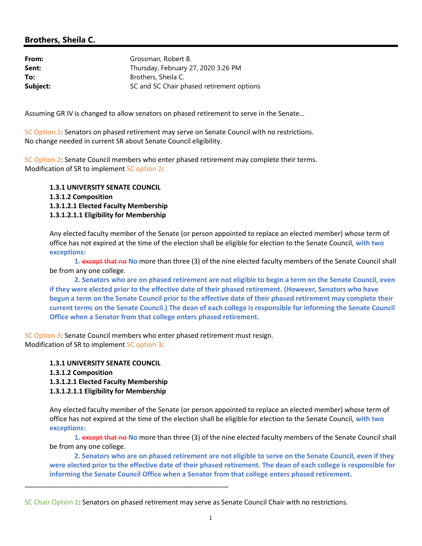## Brothers, Sheila C.

| From:    | Grossman, Robert B.                       |
|----------|-------------------------------------------|
| Sent:    | Thursday, February 27, 2020 3:26 PM       |
| To:      | Brothers, Sheila C.                       |
| Subject: | SC and SC Chair phased retirement options |

Assuming GR IV is changed to allow senators on phased retirement to serve in the Senate…

SC Option 1: Senators on phased retirement may serve on Senate Council with no restrictions. No change needed in current SR about Senate Council eligibility.

SC Option 2: Senate Council members who enter phased retirement may complete their terms. Modification of SR to implement SC option 2:

1.3.1 UNIVERSITY SENATE COUNCIL 1.3.1.2 Composition 1.3.1.2.1 Elected Faculty Membership 1.3.1.2.1.1 Eligibility for Membership

Any elected faculty member of the Senate (or person appointed to replace an elected member) whose term of office has not expired at the time of the election shall be eligible for election to the Senate Council, with two exceptions:

1. except that no No more than three (3) of the nine elected faculty members of the Senate Council shall be from any one college.

2. Senators who are on phased retirement are not eligible to begin a term on the Senate Council, even if they were elected prior to the effective date of their phased retirement. (However, Senators who have begun a term on the Senate Council prior to the effective date of their phased retirement may complete their current terms on the Senate Council.) The dean of each college is responsible for informing the Senate Council Office when a Senator from that college enters phased retirement.

SC Option 3: Senate Council members who enter phased retirement must resign. Modification of SR to implement SC option 3:

1.3.1 UNIVERSITY SENATE COUNCIL

1.3.1.2 Composition

1.3.1.2.1 Elected Faculty Membership

1.3.1.2.1.1 Eligibility for Membership

\_\_\_\_\_\_\_\_\_\_\_\_\_\_\_\_\_\_\_\_\_\_\_\_\_\_\_\_\_\_\_\_\_\_\_\_\_\_\_\_\_\_\_\_\_\_\_\_\_\_\_\_\_\_

Any elected faculty member of the Senate (or person appointed to replace an elected member) whose term of office has not expired at the time of the election shall be eligible for election to the Senate Council, with two exceptions:

1. except that no No more than three (3) of the nine elected faculty members of the Senate Council shall be from any one college.

2. Senators who are on phased retirement are not eligible to serve on the Senate Council, even if they were elected prior to the effective date of their phased retirement. The dean of each college is responsible for informing the Senate Council Office when a Senator from that college enters phased retirement.

SC Chair Option 1: Senators on phased retirement may serve as Senate Council Chair with no restrictions.